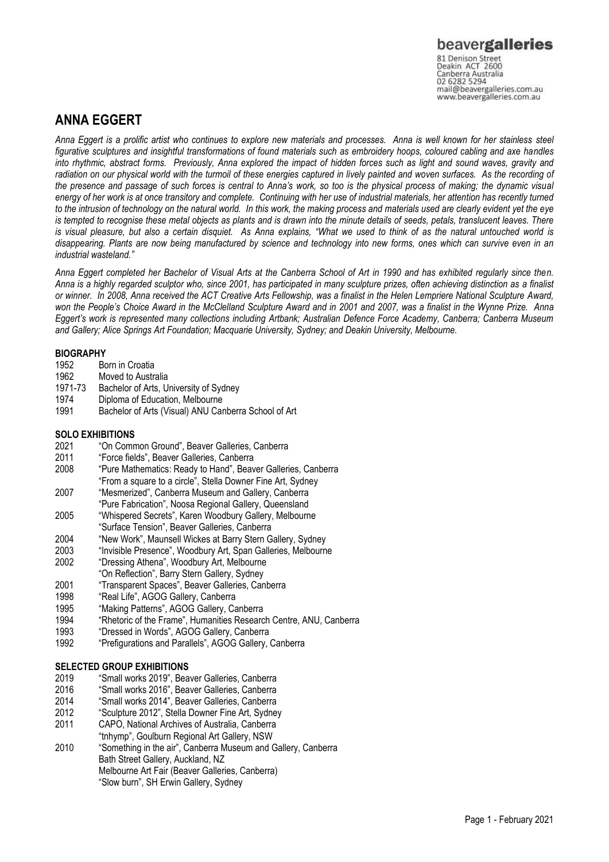## **ANNA EGGERT**

*Anna Eggert is a prolific artist who continues to explore new materials and processes. Anna is well known for her stainless steel figurative sculptures and insightful transformations of found materials such as embroidery hoops, coloured cabling and axe handles into rhythmic, abstract forms. Previously, Anna explored the impact of hidden forces such as light and sound waves, gravity and*  radiation on our physical world with the turmoil of these energies captured in lively painted and woven surfaces. As the recording of *the presence and passage of such forces is central to Anna's work, so too is the physical process of making; the dynamic visual energy of her work is at once transitory and complete. Continuing with her use of industrial materials, her attention has recently turned to the intrusion of technology on the natural world. In this work, the making process and materials used are clearly evident yet the eye is tempted to recognise these metal objects as plants and is drawn into the minute details of seeds, petals, translucent leaves. There is visual pleasure, but also a certain disquiet. As Anna explains, "What we used to think of as the natural untouched world is disappearing. Plants are now being manufactured by science and technology into new forms, ones which can survive even in an industrial wasteland."*

*Anna Eggert completed her Bachelor of Visual Arts at the Canberra School of Art in 1990 and has exhibited regularly since then. Anna is a highly regarded sculptor who, since 2001, has participated in many sculpture prizes, often achieving distinction as a finalist or winner. In 2008, Anna received the ACT Creative Arts Fellowship, was a finalist in the Helen Lempriere National Sculpture Award, won the People's Choice Award in the McClelland Sculpture Award and in 2001 and 2007, was a finalist in the Wynne Prize. Anna Eggert's work is represented many collections including Artbank; Australian Defence Force Academy, Canberra; Canberra Museum and Gallery; Alice Springs Art Foundation; Macquarie University, Sydney; and Deakin University, Melbourne.*

# **BIOGRAPHY**<br>1952 Bo

- 1952 Born in Croatia<br>1962 Moved to Austr
- 1962 Moved to Australia<br>1971-73 Bachelor of Arts. U
- Bachelor of Arts, University of Sydney
- 1974 Diploma of Education, Melbourne
- 1991 Bachelor of Arts (Visual) ANU Canberra School of Art

#### **SOLO EXHIBITIONS**

- 2021 "On Common Ground", Beaver Galleries, Canberra
- 2011 "Force fields", Beaver Galleries, Canberra
- "Pure Mathematics: Ready to Hand", Beaver Galleries, Canberra
- "From a square to a circle", Stella Downer Fine Art, Sydney
- 2007 "Mesmerized", Canberra Museum and Gallery, Canberra
- "Pure Fabrication", Noosa Regional Gallery, Queensland 2005 "Whispered Secrets", Karen Woodbury Gallery, Melbourne
- "Surface Tension", Beaver Galleries, Canberra
- 2004 "New Work", Maunsell Wickes at Barry Stern Gallery, Sydney
- 2003 "Invisible Presence", Woodbury Art, Span Galleries, Melbourne
- 2002 "Dressing Athena", Woodbury Art, Melbourne
- "On Reflection", Barry Stern Gallery, Sydney
- 2001 "Transparent Spaces", Beaver Galleries, Canberra
- "Real Life", AGOG Gallery, Canberra
- 1995 "Making Patterns", AGOG Gallery, Canberra
- 1994 "Rhetoric of the Frame", Humanities Research Centre, ANU, Canberra
- 1993 "Dressed in Words", AGOG Gallery, Canberra
- 1992 "Prefigurations and Parallels", AGOG Gallery, Canberra

#### **SELECTED GROUP EXHIBITIONS**

- 2019 "Small works 2019", Beaver Galleries, Canberra
- 2016 "Small works 2016", Beaver Galleries, Canberra
- 2014 "Small works 2014", Beaver Galleries, Canberra
- "Sculpture 2012", Stella Downer Fine Art, Sydney
- 2011 CAPO, National Archives of Australia, Canberra
- "tnhymp", Goulburn Regional Art Gallery, NSW
- 2010 "Something in the air", Canberra Museum and Gallery, Canberra Bath Street Gallery, Auckland, NZ Melbourne Art Fair (Beaver Galleries, Canberra) "Slow burn", SH Erwin Gallery, Sydney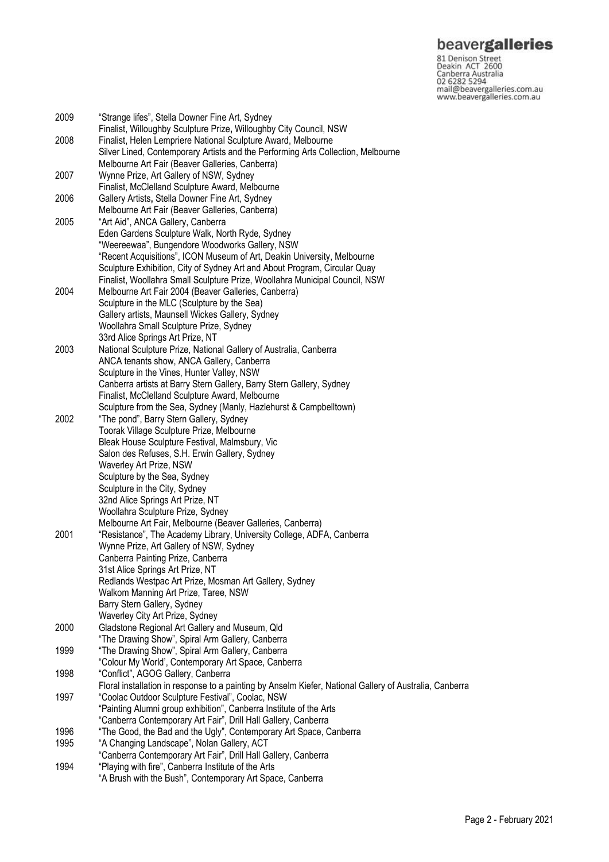## beavergalleries

81 Denison Street<br>Deakin ACT 2600 Canberra Australia 02 6282 5294 mail@beavergalleries.com.au www.beavergalleries.com.au

2009 "Strange lifes", Stella Downer Fine Art, Sydney Finalist, Willoughby Sculpture Prize**,** Willoughby City Council, NSW 2008 Finalist, Helen Lempriere National Sculpture Award, Melbourne Silver Lined, Contemporary Artists and the Performing Arts Collection, Melbourne Melbourne Art Fair (Beaver Galleries, Canberra) 2007 Wynne Prize, Art Gallery of NSW, Sydney Finalist, McClelland Sculpture Award, Melbourne 2006 Gallery Artists**,** Stella Downer Fine Art, Sydney Melbourne Art Fair (Beaver Galleries, Canberra) 2005 "Art Aid", ANCA Gallery, Canberra Eden Gardens Sculpture Walk, North Ryde, Sydney "Weereewaa", Bungendore Woodworks Gallery, NSW "Recent Acquisitions", ICON Museum of Art, Deakin University, Melbourne Sculpture Exhibition, City of Sydney Art and About Program, Circular Quay Finalist, Woollahra Small Sculpture Prize, Woollahra Municipal Council, NSW 2004 Melbourne Art Fair 2004 (Beaver Galleries, Canberra) Sculpture in the MLC (Sculpture by the Sea) Gallery artists, Maunsell Wickes Gallery, Sydney Woollahra Small Sculpture Prize, Sydney 33rd Alice Springs Art Prize, NT 2003 National Sculpture Prize, National Gallery of Australia, Canberra ANCA tenants show, ANCA Gallery, Canberra Sculpture in the Vines, Hunter Valley, NSW Canberra artists at Barry Stern Gallery, Barry Stern Gallery, Sydney Finalist, McClelland Sculpture Award, Melbourne Sculpture from the Sea, Sydney (Manly, Hazlehurst & Campbelltown) 2002 "The pond", Barry Stern Gallery, Sydney Toorak Village Sculpture Prize, Melbourne Bleak House Sculpture Festival, Malmsbury, Vic Salon des Refuses, S.H. Erwin Gallery, Sydney Waverley Art Prize, NSW Sculpture by the Sea, Sydney Sculpture in the City, Sydney 32nd Alice Springs Art Prize, NT Woollahra Sculpture Prize, Sydney Melbourne Art Fair, Melbourne (Beaver Galleries, Canberra) 2001 "Resistance", The Academy Library, University College, ADFA, Canberra Wynne Prize, Art Gallery of NSW, Sydney Canberra Painting Prize, Canberra 31st Alice Springs Art Prize, NT Redlands Westpac Art Prize, Mosman Art Gallery, Sydney Walkom Manning Art Prize, Taree, NSW Barry Stern Gallery, Sydney Waverley City Art Prize, Sydney 2000 Gladstone Regional Art Gallery and Museum, Qld "The Drawing Show", Spiral Arm Gallery, Canberra 1999 "The Drawing Show", Spiral Arm Gallery, Canberra "Colour My World', Contemporary Art Space, Canberra 1998 "Conflict", AGOG Gallery, Canberra Floral installation in response to a painting by Anselm Kiefer, National Gallery of Australia, Canberra 1997 "Coolac Outdoor Sculpture Festival", Coolac, NSW "Painting Alumni group exhibition", Canberra Institute of the Arts "Canberra Contemporary Art Fair", Drill Hall Gallery, Canberra 1996 "The Good, the Bad and the Ugly", Contemporary Art Space, Canberra 1995 "A Changing Landscape", Nolan Gallery, ACT "Canberra Contemporary Art Fair", Drill Hall Gallery, Canberra 1994 "Playing with fire", Canberra Institute of the Arts

"A Brush with the Bush", Contemporary Art Space, Canberra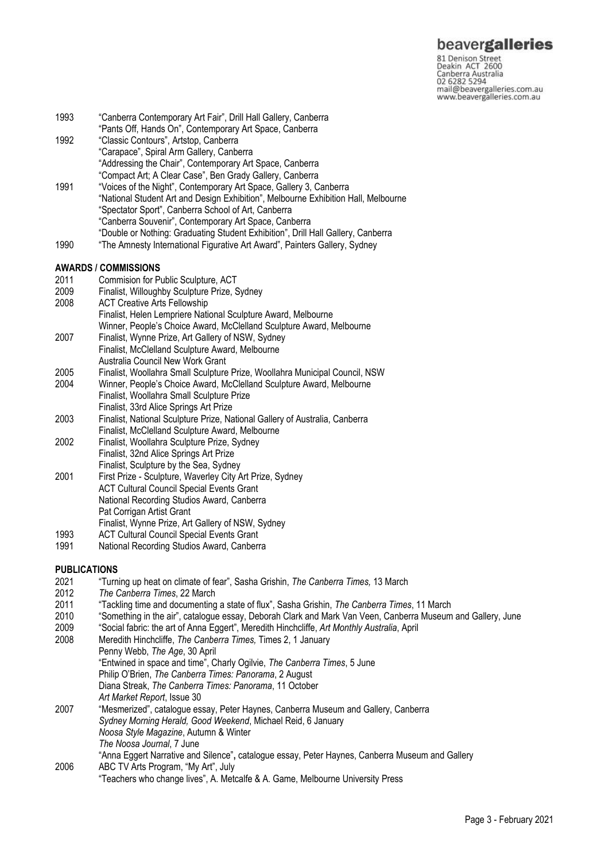81 Denison Street<br>Deakin ACT 2600 Canberra Australia<br>02 6282 5294<br>mail@beavergalleries.com.au www.beavergalleries.com.au

| 1993 | "Canberra Contemporary Art Fair", Drill Hall Gallery, Canberra                     |
|------|------------------------------------------------------------------------------------|
|      | "Pants Off, Hands On", Contemporary Art Space, Canberra                            |
| 1992 | "Classic Contours", Artstop, Canberra                                              |
|      | "Carapace", Spiral Arm Gallery, Canberra                                           |
|      | "Addressing the Chair", Contemporary Art Space, Canberra                           |
|      | "Compact Art; A Clear Case", Ben Grady Gallery, Canberra                           |
| 1991 | "Voices of the Night", Contemporary Art Space, Gallery 3, Canberra                 |
|      | "National Student Art and Design Exhibition", Melbourne Exhibition Hall, Melbourne |
|      | "Spectator Sport", Canberra School of Art, Canberra                                |
|      | "Canberra Souvenir", Contemporary Art Space, Canberra                              |
|      | "Double or Nothing: Graduating Student Exhibition", Drill Hall Gallery, Canberra   |
| 1990 | "The Amnesty International Figurative Art Award", Painters Gallery, Sydney         |
|      | <b>AWARDS / COMMISSIONS</b>                                                        |
| 2011 | Commision for Public Sculpture, ACT                                                |
| 2009 | Finalist, Willoughby Sculpture Prize, Sydney                                       |
| 2008 | <b>ACT Creative Arts Fellowship</b>                                                |
|      | Finalist, Helen Lempriere National Sculpture Award, Melbourne                      |
|      | Winner, People's Choice Award, McClelland Sculpture Award, Melbourne               |
| 2007 | Finalist, Wynne Prize, Art Gallery of NSW, Sydney                                  |
|      | Finalist, McClelland Sculpture Award, Melbourne                                    |
|      | Australia Council New Work Grant                                                   |
| 2005 | Finalist, Woollahra Small Sculpture Prize, Woollahra Municipal Council, NSW        |
| 2004 | Winner, People's Choice Award, McClelland Sculpture Award, Melbourne               |
|      | Finalist, Woollahra Small Sculpture Prize                                          |
|      | Finalist, 33rd Alice Springs Art Prize                                             |
| 2003 | Finalist, National Sculpture Prize, National Gallery of Australia, Canberra        |
|      | Finalist, McClelland Sculpture Award, Melbourne                                    |
| 2002 | Finalist, Woollahra Sculpture Prize, Sydney                                        |
|      | Finalist, 32nd Alice Springs Art Prize                                             |
|      | Finalist, Sculpture by the Sea, Sydney                                             |

- 2001 First Prize Sculpture, Waverley City Art Prize, Sydney ACT Cultural Council Special Events Grant National Recording Studios Award, Canberra Pat Corrigan Artist Grant Finalist, Wynne Prize, Art Gallery of NSW, Sydney
- 
- 1993 ACT Cultural Council Special Events Grant<br>1991 National Recording Studios Award. Canber National Recording Studios Award, Canberra

## **PUBLICATIONS**<br>2021 **Turn**

- 2021 "Turning up heat on climate of fear", Sasha Grishin, *The Canberra Times,* 13 March
- 2012 *The Canberra Times*, 22 March
- 2011 "Tackling time and documenting a state of flux", Sasha Grishin, *The Canberra Times*, 11 March
- 2010 "Something in the air", catalogue essay, Deborah Clark and Mark Van Veen, Canberra Museum and Gallery, June<br>2009 "Social fabric: the art of Anna Eggert". Meredith Hinchcliffe. Art Monthly Australia. April
- 2009 "Social fabric: the art of Anna Eggert", Meredith Hinchcliffe, *Art Monthly Australia*, April
- 2008 Meredith Hinchcliffe, *The Canberra Times,* Times 2, 1 January

Penny Webb, *The Age*, 30 April

- "Entwined in space and time", Charly Ogilvie, *The Canberra Times*, 5 June
- Philip O'Brien, *The Canberra Times: Panorama*, 2 August

Diana Streak, *The Canberra Times: Panorama*, 11 October

- *Art Market Report*, Issue 30
- 2007 "Mesmerized", catalogue essay, Peter Haynes, Canberra Museum and Gallery, Canberra *Sydney Morning Herald, Good Weekend*, Michael Reid, 6 January *Noosa Style Magazine*, Autumn & Winter *The Noosa Journal*, 7 June "Anna Eggert Narrative and Silence"**,** catalogue essay, Peter Haynes, Canberra Museum and Gallery
- 2006 ABC TV Arts Program, "My Art", July "Teachers who change lives", A. Metcalfe & A. Game, Melbourne University Press